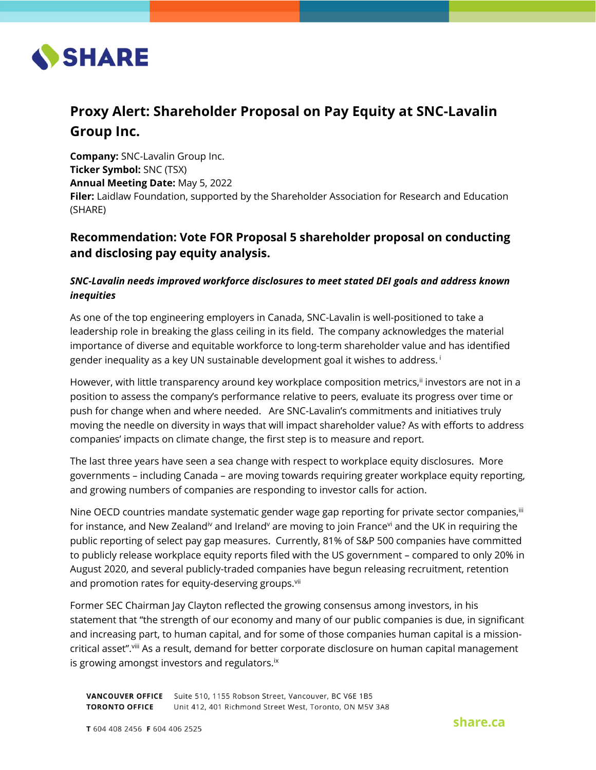

# **Proxy Alert: Shareholder Proposal on Pay Equity at SNC-Lavalin Group Inc.**

**Company:** SNC-Lavalin Group Inc. **Ticker Symbol:** SNC (TSX) **Annual Meeting Date:** May 5, 2022 **Filer:** Laidlaw Foundation, supported by the Shareholder Association for Research and Education (SHARE)

# **Recommendation: Vote FOR Proposal 5 shareholder proposal on conducting and disclosing pay equity analysis.**

# *SNC-Lavalin needs improved workforce disclosures to meet stated DEI goals and address known inequities*

As one of the top engineering employers in Canada, SNC-Lavalin is well-positioned to take a leadership role in breaking the glass ceiling in its field. The company acknowledges the material importance of diverse and equitable workforce to long-term shareholder value and has identified gender inequality as a key UN sustainable development goal it wishes to address. <sup>i</sup>

However, with little transparency around key workplace composition metrics,<sup>ii</sup> investors are not in a position to assess the company's performance relative to peers, evaluate its progress over time or push for change when and where needed. Are SNC-Lavalin's commitments and initiatives truly moving the needle on diversity in ways that will impact shareholder value? As with efforts to address companies' impacts on climate change, the first step is to measure and report.

The last three years have seen a sea change with respect to workplace equity disclosures. More governments – including Canada – are moving towards requiring greater workplace equity reporting, and growing numbers of companies are responding to investor calls for action.

Nine OECD countries mandate systematic gender wage gap reporting for private sector companies, in for instance, and New Zealand<sup>iv</sup> and Ireland<sup>v</sup> are moving to join France<sup>vi</sup> and the UK in requiring the public reporting of select pay gap measures. Currently, 81% of S&P 500 companies have committed to publicly release workplace equity reports filed with the US government – compared to only 20% in August 2020, and several publicly-traded companies have begun releasing recruitment, retention and promotion rates for equity-deserving groups.<sup>vii</sup>

Former SEC Chairman Jay Clayton reflected the growing consensus among investors, in his statement that "the strength of our economy and many of our public companies is due, in significant and increasing part, to human capital, and for some of those companies human capital is a missioncritical asset".viii As a result, demand for better corporate disclosure on human capital management is growing amongst investors and regulators.<sup>ix</sup>

VANCOUVER OFFICE Suite 510, 1155 Robson Street, Vancouver, BC V6E 1B5 **TORONTO OFFICE** Unit 412, 401 Richmond Street West, Toronto, ON M5V 3A8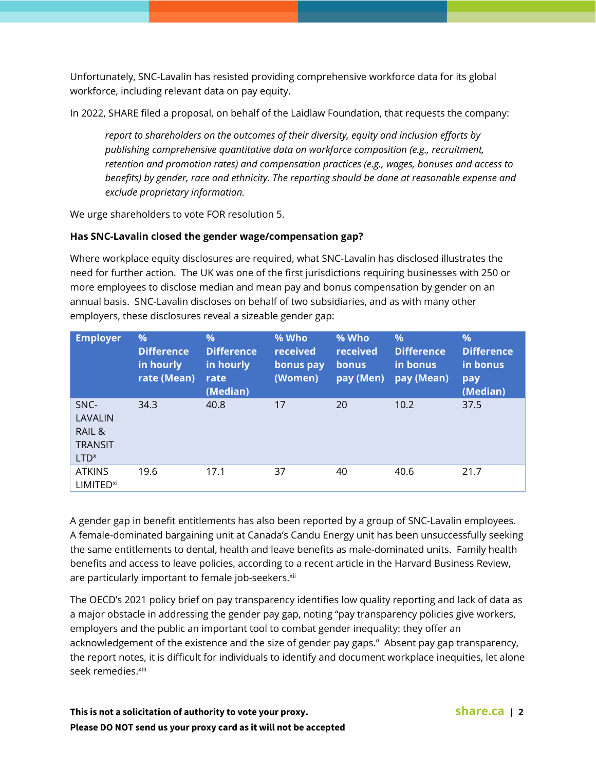Unfortunately, SNC-Lavalin has resisted providing comprehensive workforce data for its global workforce, including relevant data on pay equity.

In 2022, SHARE filed a proposal, on behalf of the Laidlaw Foundation, that requests the company:

*report to shareholders on the outcomes of their diversity, equity and inclusion efforts by publishing comprehensive quantitative data on workforce composition (e.g., recruitment, retention and promotion rates) and compensation practices (e.g., wages, bonuses and access to benefits) by gender, race and ethnicity. The reporting should be done at reasonable expense and exclude proprietary information.*

We urge shareholders to vote FOR resolution 5.

## **Has SNC-Lavalin closed the gender wage/compensation gap?**

Where workplace equity disclosures are required, what SNC-Lavalin has disclosed illustrates the need for further action. The UK was one of the first jurisdictions requiring businesses with 250 or more employees to disclose median and mean pay and bonus compensation by gender on an annual basis. SNC-Lavalin discloses on behalf of two subsidiaries, and as with many other employers, these disclosures reveal a sizeable gender gap:

| <b>Employer</b>                                                 | $\%$<br><b>Difference</b><br>in hourly<br>rate (Mean) | $\frac{9}{6}$<br><b>Difference</b><br>in hourly<br>rate<br>(Median) | % Who<br>received<br>bonus pay<br>(Women) | % Who<br>received<br>bonus<br>pay (Men) | %<br><b>Difference</b><br>in bonus<br>pay (Mean) | $\frac{9}{6}$<br><b>Difference</b><br>in bonus<br>pay<br>(Median) |
|-----------------------------------------------------------------|-------------------------------------------------------|---------------------------------------------------------------------|-------------------------------------------|-----------------------------------------|--------------------------------------------------|-------------------------------------------------------------------|
| SNC-<br>LAVALIN<br>RAIL &<br><b>TRANSIT</b><br>LTD <sup>x</sup> | 34.3                                                  | 40.8                                                                | 17                                        | 20                                      | 10.2                                             | 37.5                                                              |
| <b>ATKINS</b><br><b>LIMITED<sup>xi</sup></b>                    | 19.6                                                  | 17.1                                                                | 37                                        | 40                                      | 40.6                                             | 21.7                                                              |

A gender gap in benefit entitlements has also been reported by a group of SNC-Lavalin employees. A female-dominated bargaining unit at Canada's Candu Energy unit has been unsuccessfully seeking the same entitlements to dental, health and leave benefits as male-dominated units. Family health benefits and access to leave policies, according to a recent article in the Harvard Business Review, are particularly important to female job-seekers.<sup>xii</sup>

The OECD's 2021 policy brief on pay transparency identifies low quality reporting and lack of data as a major obstacle in addressing the gender pay gap, noting "pay transparency policies give workers, employers and the public an important tool to combat gender inequality: they offer an acknowledgement of the existence and the size of gender pay gaps." Absent pay gap transparency, the report notes, it is difficult for individuals to identify and document workplace inequities, let alone seek remedies.<sup>xiii</sup>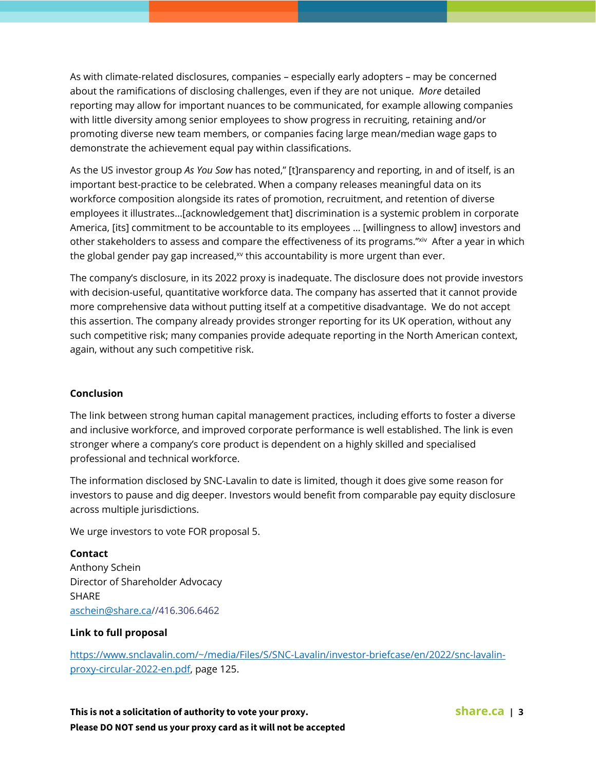As with climate-related disclosures, companies – especially early adopters – may be concerned about the ramifications of disclosing challenges, even if they are not unique. *More* detailed reporting may allow for important nuances to be communicated, for example allowing companies with little diversity among senior employees to show progress in recruiting, retaining and/or promoting diverse new team members, or companies facing large mean/median wage gaps to demonstrate the achievement equal pay within classifications.

As the US investor group *As You Sow* has noted," [t]ransparency and reporting, in and of itself, is an important best-practice to be celebrated. When a company releases meaningful data on its workforce composition alongside its rates of promotion, recruitment, and retention of diverse employees it illustrates...[acknowledgement that] discrimination is a systemic problem in corporate America, [its] commitment to be accountable to its employees … [willingness to allow] investors and other stakeholders to assess and compare the effectiveness of its programs."<sup>xiv</sup> After a year in which the global gender pay gap increased, $x$  this accountability is more urgent than ever.

The company's disclosure, in its 2022 proxy is inadequate. The disclosure does not provide investors with decision-useful, quantitative workforce data. The company has asserted that it cannot provide more comprehensive data without putting itself at a competitive disadvantage. We do not accept this assertion. The company already provides stronger reporting for its UK operation, without any such competitive risk; many companies provide adequate reporting in the North American context, again, without any such competitive risk.

#### **Conclusion**

The link between strong human capital management practices, including efforts to foster a diverse and inclusive workforce, and improved corporate performance is well established. The link is even stronger where a company's core product is dependent on a highly skilled and specialised professional and technical workforce.

The information disclosed by SNC-Lavalin to date is limited, though it does give some reason for investors to pause and dig deeper. Investors would benefit from comparable pay equity disclosure across multiple jurisdictions.

We urge investors to vote FOR proposal 5.

## **Contact**

Anthony Schein Director of Shareholder Advocacy SHARE [aschein@share.ca/](mailto:aschein@share.ca)/416.306.6462

#### **Link to full proposal**

[https://www.snclavalin.com/~/media/Files/S/SNC-Lavalin/investor-briefcase/en/2022/snc-lavalin](https://www.snclavalin.com/~/media/Files/S/SNC-Lavalin/investor-briefcase/en/2022/snc-lavalin-proxy-circular-2022-en.pdf)[proxy-circular-2022-en.pdf,](https://www.snclavalin.com/~/media/Files/S/SNC-Lavalin/investor-briefcase/en/2022/snc-lavalin-proxy-circular-2022-en.pdf) page 125.